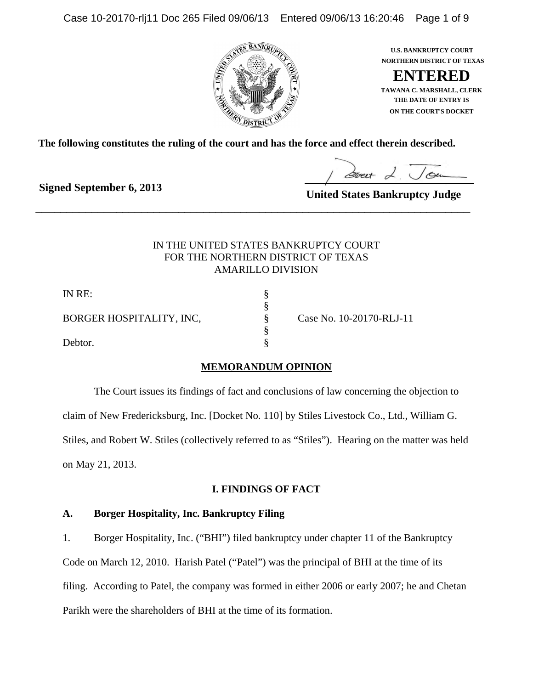Case 10-20170-rlj11 Doc 265 Filed 09/06/13 Entered 09/06/13 16:20:46 Page 1 of 9





**ON THE COURT'S DOCKET THE DATE OF ENTRY IS TAWANA C. MARSHALL, CLERK**

**The following constitutes the ruling of the court and has the force and effect therein described.**

\_\_\_\_\_\_\_\_\_\_\_\_\_\_\_\_\_\_\_\_\_\_\_\_\_\_\_\_\_\_\_\_\_\_\_\_\_\_\_\_\_\_\_\_\_\_\_\_\_\_\_\_\_\_\_\_\_\_\_\_\_\_\_\_\_\_\_\_\_\_

**Signed September 6, 2013**

**United States Bankruptcy Judge**

# IN THE UNITED STATES BANKRUPTCY COURT FOR THE NORTHERN DISTRICT OF TEXAS AMARILLO DIVISION

§

§

IN RE: § BORGER HOSPITALITY, INC,  $\S$  Case No. 10-20170-RLJ-11

Debtor.  $\S$ 

# **MEMORANDUM OPINION**

The Court issues its findings of fact and conclusions of law concerning the objection to claim of New Fredericksburg, Inc. [Docket No. 110] by Stiles Livestock Co., Ltd., William G. Stiles, and Robert W. Stiles (collectively referred to as "Stiles"). Hearing on the matter was held

on May 21, 2013.

# **I. FINDINGS OF FACT**

# **A. Borger Hospitality, Inc. Bankruptcy Filing**

1. Borger Hospitality, Inc. ("BHI") filed bankruptcy under chapter 11 of the Bankruptcy Code on March 12, 2010. Harish Patel ("Patel") was the principal of BHI at the time of its filing. According to Patel, the company was formed in either 2006 or early 2007; he and Chetan Parikh were the shareholders of BHI at the time of its formation.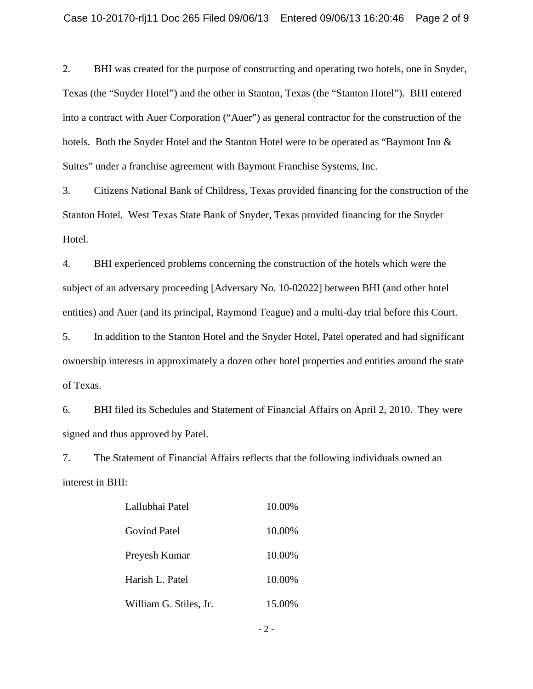2. BHI was created for the purpose of constructing and operating two hotels, one in Snyder, Texas (the "Snyder Hotel") and the other in Stanton, Texas (the "Stanton Hotel"). BHI entered into a contract with Auer Corporation ("Auer") as general contractor for the construction of the hotels. Both the Snyder Hotel and the Stanton Hotel were to be operated as "Baymont Inn & Suites" under a franchise agreement with Baymont Franchise Systems, Inc.

3. Citizens National Bank of Childress, Texas provided financing for the construction of the Stanton Hotel. West Texas State Bank of Snyder, Texas provided financing for the Snyder Hotel.

4. BHI experienced problems concerning the construction of the hotels which were the subject of an adversary proceeding [Adversary No. 10-02022] between BHI (and other hotel entities) and Auer (and its principal, Raymond Teague) and a multi-day trial before this Court.

5. In addition to the Stanton Hotel and the Snyder Hotel, Patel operated and had significant ownership interests in approximately a dozen other hotel properties and entities around the state of Texas.

6. BHI filed its Schedules and Statement of Financial Affairs on April 2, 2010. They were signed and thus approved by Patel.

7. The Statement of Financial Affairs reflects that the following individuals owned an interest in BHI:

| Lallubhai Patel        | 10.00% |
|------------------------|--------|
| <b>Govind Patel</b>    | 10.00% |
| Preyesh Kumar          | 10.00% |
| Harish L. Patel        | 10.00% |
| William G. Stiles, Jr. | 15.00% |

- 2 -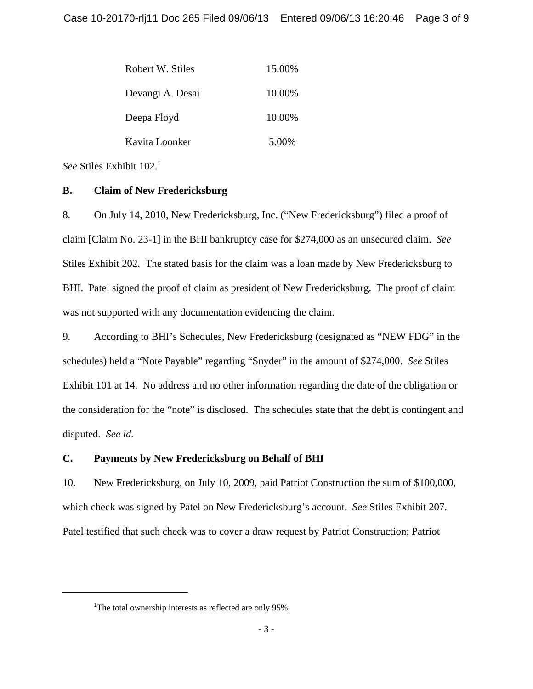| Robert W. Stiles | 15.00% |
|------------------|--------|
| Devangi A. Desai | 10.00% |
| Deepa Floyd      | 10.00% |
| Kavita Loonker   | 5.00%  |

*See* Stiles Exhibit 102.<sup>1</sup>

### **B. Claim of New Fredericksburg**

8. On July 14, 2010, New Fredericksburg, Inc. ("New Fredericksburg") filed a proof of claim [Claim No. 23-1] in the BHI bankruptcy case for \$274,000 as an unsecured claim. *See* Stiles Exhibit 202. The stated basis for the claim was a loan made by New Fredericksburg to BHI. Patel signed the proof of claim as president of New Fredericksburg. The proof of claim was not supported with any documentation evidencing the claim.

9. According to BHI's Schedules, New Fredericksburg (designated as "NEW FDG" in the schedules) held a "Note Payable" regarding "Snyder" in the amount of \$274,000. *See* Stiles Exhibit 101 at 14. No address and no other information regarding the date of the obligation or the consideration for the "note" is disclosed. The schedules state that the debt is contingent and disputed. *See id.*

# **C. Payments by New Fredericksburg on Behalf of BHI**

10. New Fredericksburg, on July 10, 2009, paid Patriot Construction the sum of \$100,000, which check was signed by Patel on New Fredericksburg's account. *See* Stiles Exhibit 207. Patel testified that such check was to cover a draw request by Patriot Construction; Patriot

<sup>&</sup>lt;sup>1</sup>The total ownership interests as reflected are only 95%.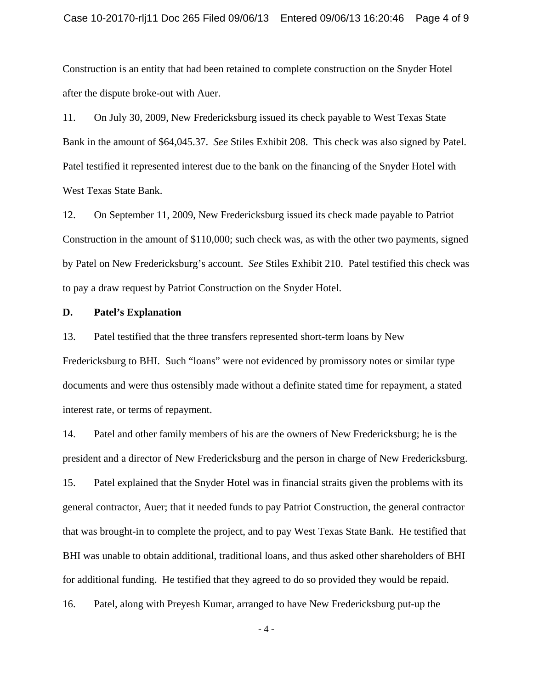Construction is an entity that had been retained to complete construction on the Snyder Hotel after the dispute broke-out with Auer.

11. On July 30, 2009, New Fredericksburg issued its check payable to West Texas State Bank in the amount of \$64,045.37. *See* Stiles Exhibit 208. This check was also signed by Patel. Patel testified it represented interest due to the bank on the financing of the Snyder Hotel with West Texas State Bank.

12. On September 11, 2009, New Fredericksburg issued its check made payable to Patriot Construction in the amount of \$110,000; such check was, as with the other two payments, signed by Patel on New Fredericksburg's account. *See* Stiles Exhibit 210. Patel testified this check was to pay a draw request by Patriot Construction on the Snyder Hotel.

### **D. Patel's Explanation**

13. Patel testified that the three transfers represented short-term loans by New Fredericksburg to BHI. Such "loans" were not evidenced by promissory notes or similar type documents and were thus ostensibly made without a definite stated time for repayment, a stated interest rate, or terms of repayment.

14. Patel and other family members of his are the owners of New Fredericksburg; he is the president and a director of New Fredericksburg and the person in charge of New Fredericksburg. 15. Patel explained that the Snyder Hotel was in financial straits given the problems with its general contractor, Auer; that it needed funds to pay Patriot Construction, the general contractor that was brought-in to complete the project, and to pay West Texas State Bank. He testified that BHI was unable to obtain additional, traditional loans, and thus asked other shareholders of BHI for additional funding. He testified that they agreed to do so provided they would be repaid. 16. Patel, along with Preyesh Kumar, arranged to have New Fredericksburg put-up the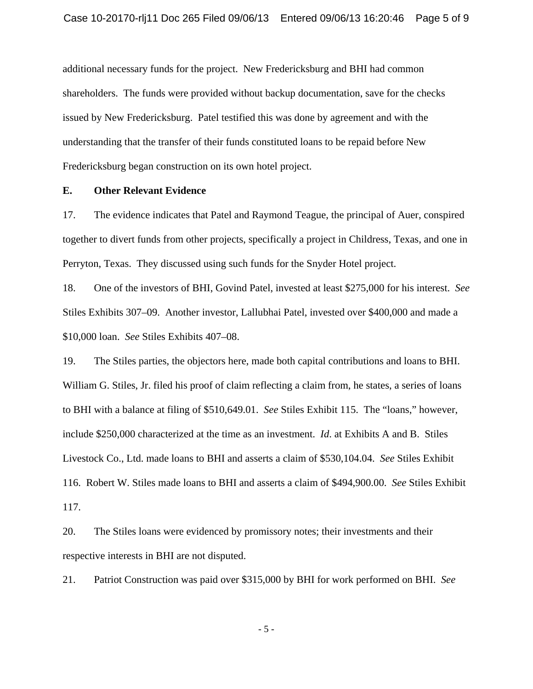additional necessary funds for the project. New Fredericksburg and BHI had common shareholders. The funds were provided without backup documentation, save for the checks issued by New Fredericksburg. Patel testified this was done by agreement and with the understanding that the transfer of their funds constituted loans to be repaid before New Fredericksburg began construction on its own hotel project.

### **E. Other Relevant Evidence**

17. The evidence indicates that Patel and Raymond Teague, the principal of Auer, conspired together to divert funds from other projects, specifically a project in Childress, Texas, and one in Perryton, Texas. They discussed using such funds for the Snyder Hotel project.

18. One of the investors of BHI, Govind Patel, invested at least \$275,000 for his interest. *See* Stiles Exhibits 307–09. Another investor, Lallubhai Patel, invested over \$400,000 and made a \$10,000 loan. *See* Stiles Exhibits 407–08.

19. The Stiles parties, the objectors here, made both capital contributions and loans to BHI. William G. Stiles, Jr. filed his proof of claim reflecting a claim from, he states, a series of loans to BHI with a balance at filing of \$510,649.01. *See* Stiles Exhibit 115. The "loans," however, include \$250,000 characterized at the time as an investment. *Id*. at Exhibits A and B. Stiles Livestock Co., Ltd. made loans to BHI and asserts a claim of \$530,104.04. *See* Stiles Exhibit 116. Robert W. Stiles made loans to BHI and asserts a claim of \$494,900.00. *See* Stiles Exhibit 117.

20. The Stiles loans were evidenced by promissory notes; their investments and their respective interests in BHI are not disputed.

21. Patriot Construction was paid over \$315,000 by BHI for work performed on BHI. *See*

- 5 -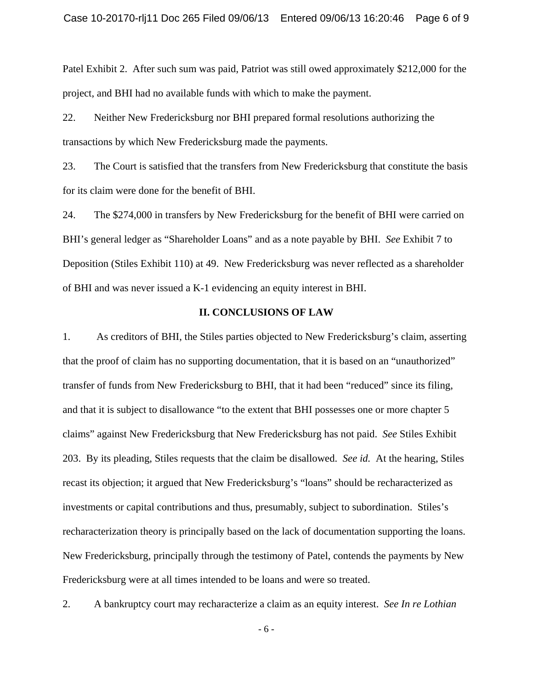Patel Exhibit 2. After such sum was paid, Patriot was still owed approximately \$212,000 for the project, and BHI had no available funds with which to make the payment.

22. Neither New Fredericksburg nor BHI prepared formal resolutions authorizing the transactions by which New Fredericksburg made the payments.

23. The Court is satisfied that the transfers from New Fredericksburg that constitute the basis for its claim were done for the benefit of BHI.

24. The \$274,000 in transfers by New Fredericksburg for the benefit of BHI were carried on BHI's general ledger as "Shareholder Loans" and as a note payable by BHI. *See* Exhibit 7 to Deposition (Stiles Exhibit 110) at 49. New Fredericksburg was never reflected as a shareholder of BHI and was never issued a K-1 evidencing an equity interest in BHI.

#### **II. CONCLUSIONS OF LAW**

1. As creditors of BHI, the Stiles parties objected to New Fredericksburg's claim, asserting that the proof of claim has no supporting documentation, that it is based on an "unauthorized" transfer of funds from New Fredericksburg to BHI, that it had been "reduced" since its filing, and that it is subject to disallowance "to the extent that BHI possesses one or more chapter 5 claims" against New Fredericksburg that New Fredericksburg has not paid. *See* Stiles Exhibit 203. By its pleading, Stiles requests that the claim be disallowed. *See id.* At the hearing, Stiles recast its objection; it argued that New Fredericksburg's "loans" should be recharacterized as investments or capital contributions and thus, presumably, subject to subordination. Stiles's recharacterization theory is principally based on the lack of documentation supporting the loans. New Fredericksburg, principally through the testimony of Patel, contends the payments by New Fredericksburg were at all times intended to be loans and were so treated.

2. A bankruptcy court may recharacterize a claim as an equity interest. *See In re Lothian*

- 6 -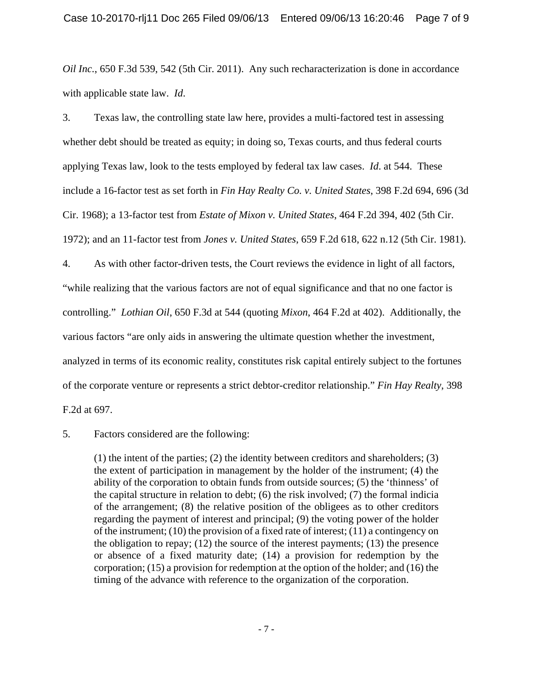*Oil Inc.*, 650 F.3d 539, 542 (5th Cir. 2011). Any such recharacterization is done in accordance with applicable state law. *Id*.

3. Texas law, the controlling state law here, provides a multi-factored test in assessing whether debt should be treated as equity; in doing so, Texas courts, and thus federal courts applying Texas law, look to the tests employed by federal tax law cases. *Id*. at 544. These include a 16-factor test as set forth in *Fin Hay Realty Co. v. United States*, 398 F.2d 694, 696 (3d Cir. 1968); a 13-factor test from *Estate of Mixon v. United States*, 464 F.2d 394, 402 (5th Cir. 1972); and an 11-factor test from *Jones v. United States*, 659 F.2d 618, 622 n.12 (5th Cir. 1981).

4. As with other factor-driven tests, the Court reviews the evidence in light of all factors, "while realizing that the various factors are not of equal significance and that no one factor is controlling." *Lothian Oil*, 650 F.3d at 544 (quoting *Mixon*, 464 F.2d at 402). Additionally, the various factors "are only aids in answering the ultimate question whether the investment, analyzed in terms of its economic reality, constitutes risk capital entirely subject to the fortunes of the corporate venture or represents a strict debtor-creditor relationship." *Fin Hay Realty*, 398 F.2d at 697.

5. Factors considered are the following:

(1) the intent of the parties; (2) the identity between creditors and shareholders; (3) the extent of participation in management by the holder of the instrument; (4) the ability of the corporation to obtain funds from outside sources; (5) the 'thinness' of the capital structure in relation to debt; (6) the risk involved; (7) the formal indicia of the arrangement; (8) the relative position of the obligees as to other creditors regarding the payment of interest and principal; (9) the voting power of the holder of the instrument; (10) the provision of a fixed rate of interest; (11) a contingency on the obligation to repay; (12) the source of the interest payments; (13) the presence or absence of a fixed maturity date; (14) a provision for redemption by the corporation; (15) a provision for redemption at the option of the holder; and (16) the timing of the advance with reference to the organization of the corporation.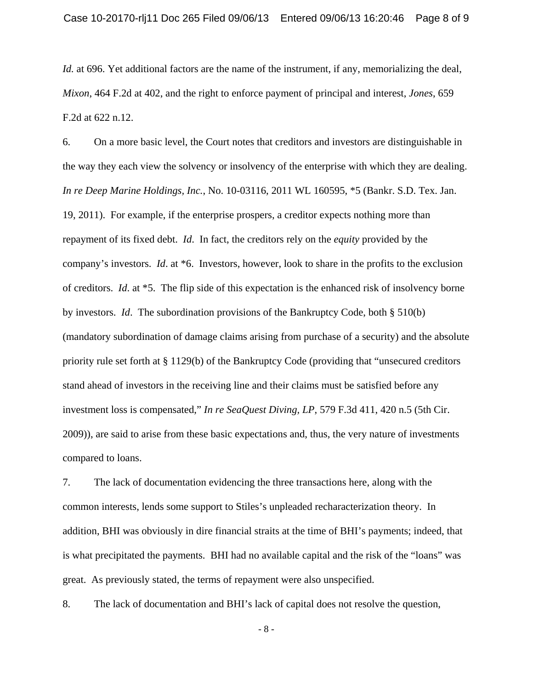*Id.* at 696. Yet additional factors are the name of the instrument, if any, memorializing the deal, *Mixon*, 464 F.2d at 402, and the right to enforce payment of principal and interest, *Jones*, 659 F.2d at 622 n.12.

6. On a more basic level, the Court notes that creditors and investors are distinguishable in the way they each view the solvency or insolvency of the enterprise with which they are dealing. *In re Deep Marine Holdings, Inc.*, No. 10-03116, 2011 WL 160595, \*5 (Bankr. S.D. Tex. Jan. 19, 2011). For example, if the enterprise prospers, a creditor expects nothing more than repayment of its fixed debt. *Id*. In fact, the creditors rely on the *equity* provided by the company's investors. *Id*. at \*6. Investors, however, look to share in the profits to the exclusion of creditors. *Id*. at \*5. The flip side of this expectation is the enhanced risk of insolvency borne by investors. *Id*. The subordination provisions of the Bankruptcy Code, both § 510(b) (mandatory subordination of damage claims arising from purchase of a security) and the absolute priority rule set forth at § 1129(b) of the Bankruptcy Code (providing that "unsecured creditors stand ahead of investors in the receiving line and their claims must be satisfied before any investment loss is compensated," *In re SeaQuest Diving, LP*, 579 F.3d 411, 420 n.5 (5th Cir. 2009)), are said to arise from these basic expectations and, thus, the very nature of investments compared to loans.

7. The lack of documentation evidencing the three transactions here, along with the common interests, lends some support to Stiles's unpleaded recharacterization theory. In addition, BHI was obviously in dire financial straits at the time of BHI's payments; indeed, that is what precipitated the payments. BHI had no available capital and the risk of the "loans" was great. As previously stated, the terms of repayment were also unspecified.

8. The lack of documentation and BHI's lack of capital does not resolve the question,

- 8 -